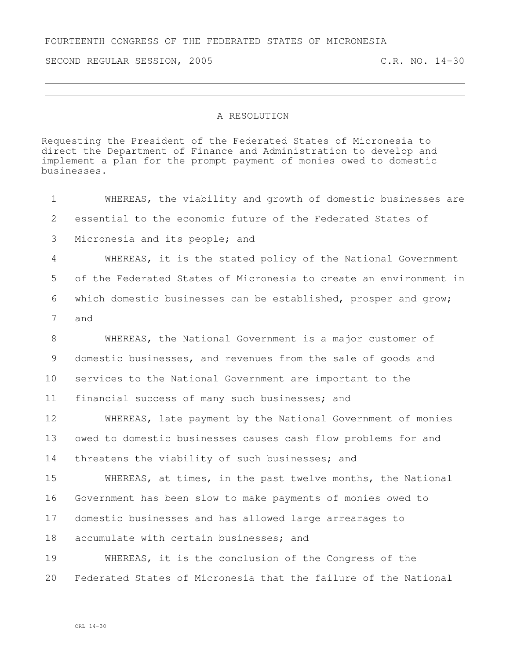FOURTEENTH CONGRESS OF THE FEDERATED STATES OF MICRONESIA

SECOND REGULAR SESSION, 2005 C.R. NO. 14-30

## A RESOLUTION

Requesting the President of the Federated States of Micronesia to direct the Department of Finance and Administration to develop and implement a plan for the prompt payment of monies owed to domestic businesses.

 WHEREAS, the viability and growth of domestic businesses are essential to the economic future of the Federated States of Micronesia and its people; and WHEREAS, it is the stated policy of the National Government of the Federated States of Micronesia to create an environment in which domestic businesses can be established, prosper and grow; and WHEREAS, the National Government is a major customer of domestic businesses, and revenues from the sale of goods and services to the National Government are important to the financial success of many such businesses; and WHEREAS, late payment by the National Government of monies owed to domestic businesses causes cash flow problems for and threatens the viability of such businesses; and WHEREAS, at times, in the past twelve months, the National Government has been slow to make payments of monies owed to domestic businesses and has allowed large arrearages to accumulate with certain businesses; and WHEREAS, it is the conclusion of the Congress of the

Federated States of Micronesia that the failure of the National